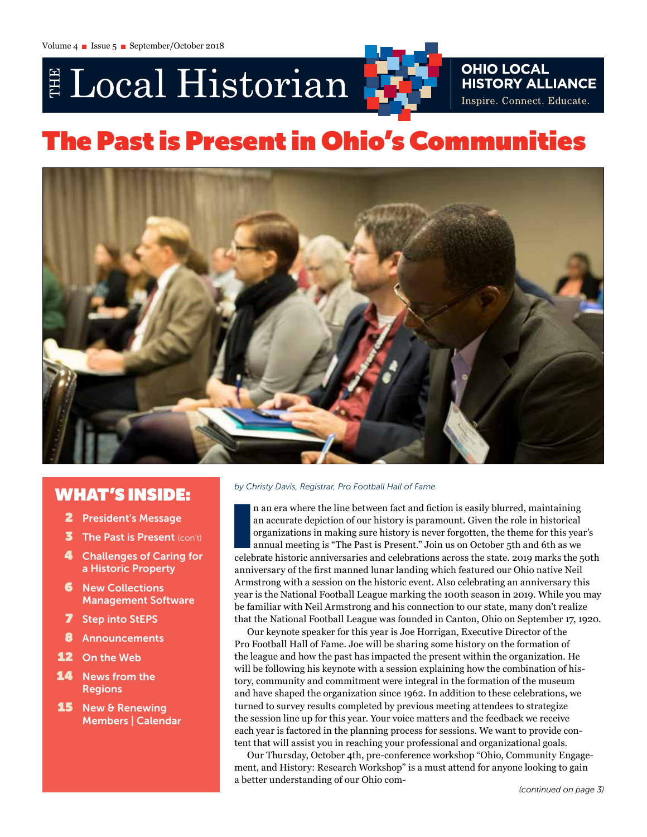# E Local Historian



## The Past is Present in Ohio's Communities



## WHAT'S INSIDE:

- 2 President's Message
- $\overline{\mathbf{3}}$  The Past is Present (con't)
- 4 Challenges of Caring for a Historic Property
- **6** New Collections Management Software
- **Step into StEPS**
- 8 Announcements
- 12 On the Web
- 14 News from the Regions
- **15** New & Renewing Members | Calendar

#### *by Christy Davis, Registrar, Pro Football Hall of Fame*

In an era where the line between fact and fiction is easily blurred, maintaining an accurate depiction of our history is paramount. Given the role in historical organizations in making sure history is never forgotten, the n an era where the line between fact and fiction is easily blurred, maintaining an accurate depiction of our history is paramount. Given the role in historical organizations in making sure history is never forgotten, the theme for this year's annual meeting is "The Past is Present." Join us on October 5th and 6th as we anniversary of the first manned lunar landing which featured our Ohio native Neil Armstrong with a session on the historic event. Also celebrating an anniversary this year is the National Football League marking the 100th season in 2019. While you may be familiar with Neil Armstrong and his connection to our state, many don't realize that the National Football League was founded in Canton, Ohio on September 17, 1920.

Our keynote speaker for this year is Joe Horrigan, Executive Director of the Pro Football Hall of Fame. Joe will be sharing some history on the formation of the league and how the past has impacted the present within the organization. He will be following his keynote with a session explaining how the combination of history, community and commitment were integral in the formation of the museum and have shaped the organization since 1962. In addition to these celebrations, we turned to survey results completed by previous meeting attendees to strategize the session line up for this year. Your voice matters and the feedback we receive each year is factored in the planning process for sessions. We want to provide content that will assist you in reaching your professional and organizational goals.

Our Thursday, October 4th, pre-conference workshop "Ohio, Community Engagement, and History: Research Workshop" is a must attend for anyone looking to gain a better understanding of our Ohio com-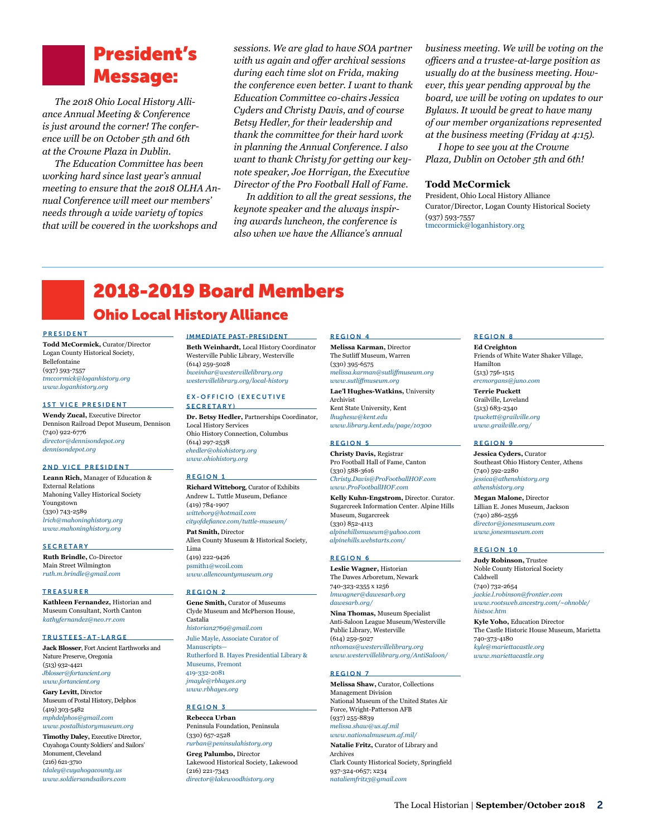# President's

*The 2018 Ohio Local History Alliance Annual Meeting & Conference is just around the corner! The conference will be on October 5th and 6th at the Crowne Plaza in Dublin.* 

*The Education Committee has been working hard since last year's annual meeting to ensure that the 2018 OLHA Annual Conference will meet our members' needs through a wide variety of topics that will be covered in the workshops and* 

*sessions. We are glad to have SOA partner with us again and offer archival sessions during each time slot on Frida, making the conference even better. I want to thank Education Committee co-chairs Jessica Cyders and Christy Davis, and of course Betsy Hedler, for their leadership and thank the committee for their hard work in planning the Annual Conference. I also want to thank Christy for getting our keynote speaker, Joe Horrigan, the Executive Director of the Pro Football Hall of Fame.* **Message:** *the conference even better. I want to thank ever, this year pending approval by the the conference even better. I want to thank ever, this year pending approval by the* 

> *In addition to all the great sessions, the keynote speaker and the always inspiring awards luncheon, the conference is also when we have the Alliance's annual*

*business meeting. We will be voting on the officers and a trustee-at-large position as usually do at the business meeting. However, this year pending approval by the board, we will be voting on updates to our Bylaws. It would be great to have many of our member organizations represented at the business meeting (Friday at 4:15).*

*I hope to see you at the Crowne Plaza, Dublin on October 5th and 6th!*

#### **Todd McCormick**

President, Ohio Local History Alliance Curator/Director, Logan County Historical Society (937) 593-7557 [tmccormick@loganhistory.org](mailto:tmccormick@loganhistory.org)

## 2018-2019 Board Members Ohio Local History Alliance

#### PRESIDENT

**Todd McCormick,** Curator/Director Logan County Historical Society, Bellefontaine (937) 593-7557 *[tmccormick@loganhistory.org](mailto:tmccormick%40loganhistory.org?subject=) [www.loganhistory.org](http://www.loganhistory.org)*

#### 1ST VICE PRESIDENT

**Wendy Zucal,** Executive Director Dennison Railroad Depot Museum, Dennison (740) 922-6776 *[director@dennisondepot.org](mailto:director%40dennisondepot.org?subject=) [dennisondepot.org](http://dennisondepot.org)*

#### 2ND VICE PRESIDENT

**Leann Rich,** Manager of Education & External Relations Mahoning Valley Historical Society Youngstown (330) 743-2589 *[lrich@mahoninghistory.org](mailto:lrich%40mahoninghistory.org?subject=) [www.mahoninghistory.org](https://mahoninghistory.org/)*

#### **SECRETARY**

**Ruth Brindle,** Co-Director Main Street Wilmington *[ruth.m.brindle@gmail.com](mailto:ruth.m.brindle%40gmail.com?subject=)*

#### TREASURER

**Kathleen Fernandez,** Historian and Museum Consultant, North Canton *[kathyfernandez@neo.rr.com](mailto:kathyfernandez%40neo.rr.com?subject=)*

#### TRUSTEES-AT-LARGE

**Jack Blosser**, Fort Ancient Earthworks and Nature Preserve, Oregonia (513) 932-4421 *[Jblosser@fortancient.org](mailto:Jblosser%40fortancient.org?subject=) [www.fortancient.org](http://www.fortancient.org/)*

**Gary Levitt,** Director Museum of Postal History, Delphos (419) 303-5482 *[mphdelphos@gmail.com](mailto:mphdelphos%40gmail.com?subject=) www.postalhistorymuseum.org*

**Timothy Daley,** Executive Director, Cuyahoga County Soldiers' and Sailors' Monument, Cleveland (216) 621-3710 *tdaley@cuyahogacounty.us www.soldiersandsailors.com*

#### IMMEDIATE PAST-PRESIDENT

**Beth Weinhardt,** Local History Coordinator Westerville Public Library, Westerville (614) 259-5028 *[bweinhar@westervillelibrary.org](mailto:bweinhar%40westervillelibrary.org?subject=) [westervillelibrary.org/local-history](http://westervillelibrary.org/local-history)*

#### EX-OFFICIO (EXECUTIVE SECRETARY)

**Dr. Betsy Hedler,** Partnerships Coordinator, Local History Services Ohio History Connection, Columbus (614) 297-2538 *[ehedler@ohiohistory.org](mailto:ehedler%40ohiohistory.org?subject=) [www.ohiohistory.org](http://www.ohiohistory.org)*

#### REGION 1

**Richard Witteborg**, Curator of Exhibits Andrew L. Tuttle Museum, Defiance (419) 784-1907 *[witteborg@hotmail.com](mailto:witteborg%40hotmail.com?subject=) [cityofdefiance.com/tuttle-museum/](http://cityofdefiance.com/tuttle-museum/)* **Pat Smith,** Director Allen County Museum & Historical Society, Lima (419) 222-9426 psmith1@wcoil.com

*www.allencountymuseum.org* 

#### REGION 2

**Gene Smith,** Curator of Museums Clyde Museum and McPherson House, Castalia *[historian2769@gmail.com](mailto:jmayle%40rbhayes.org?subject=)* [Julie Mayle, Associate Curator of](mailto:jmayle%40rbhayes.org?subject=)  [Manuscripts—](mailto:jmayle%40rbhayes.org?subject=) [Rutherford B. Hayes Presidential Library &](mailto:jmayle%40rbhayes.org?subject=)  [Museums, Fremont](mailto:jmayle%40rbhayes.org?subject=) [419-332-2081](mailto:jmayle%40rbhayes.org?subject=) *[jmayle@rbhayes.org](mailto:jmayle%40rbhayes.org?subject=) [www.rbhayes.org](mailto:jmayle%40rbhayes.org?subject=)*

#### REGION 3

**Rebecca Urban** Peninsula Foundation, Peninsula (330) 657-2528 *[rurban@peninsulahistory.org](mailto:rurban%40peninsulahistory.org?subject=)* **Greg Palumbo,** Director Lakewood Historical Society, Lakewood (216) 221-7343 *[director@lakewoodhistory.org](mailto:director%40lakewoodhistory.org%0D?subject=)*

#### REGION 4

**Melissa Karman,** Director The Sutliff Museum, Warren (330) 395-6575 *[melissa.karman@sutliffmuseum.org](mailto:melissa.karman%40sutliffmuseum.org?subject=)  www.sutliffmuseum.org*

**Lae'l Hughes-Watkins,** University Archivist Kent State University, Kent *lhughesw@kent.edu www.library.kent.edu/page/10300*

#### REGION 5

**Christy Davis,** Registrar Pro Football Hall of Fame, Canton (330) 588-3616 *[Christy.Davis@ProFootballHOF.com](mailto:Christy.Davis%40ProFootballHOF.com?subject=)  [www.ProFootballHOF.com](http://www.ProFootballHOF.com)*

**Kelly Kuhn-Engstrom,** Director. Curator. Sugarcreek Information Center. Alpine Hills Museum, Sugarcreek (330) 852-4113 *[alpinehillsmuseum@yahoo.com](mailto:alpinehillsmuseum%40yahoo.com?subject=) [alpinehills.webstarts.com](http://alpinehills.webstarts.com)/*

#### REGION 6

**Leslie Wagner,** Historian The Dawes Arboretum, Newark 740-323-2355 x 1256 *lmwagner@dawesarb.org [dawesarb.org/](http://dawesarb.org/)*

**Nina Thomas,** Museum Specialist Anti-Saloon League Museum/Westerville Public Library, Westerville (614) 259-5027 *[nthomas@westervillelibrary.org](mailto:nthomas@westervillelibrary.org) [www.westervillelibrary.org/AntiSaloon/](http://www.westervillelibrary.org/AntiSaloon/)*

#### REGION 7

**Melissa Shaw,** Curator, Collections Management Division National Museum of the United States Air Force, Wright-Patterson AFB (937) 255-8839 *[melissa.shaw@us.af.mil](mailto:melissa.shaw%40us.af.mil?subject=) [www.nationalmuseum.af.mil/](http://www.nationalmuseum.af.mil/)*

**Natalie Fritz,** Curator of Library and Archives Clark County Historical Society, Springfield 937-324-0657; x234 *[nataliemfritz3@gmail.com](mailto:nataliemfritz3%40gmail.com?subject=)*

#### REGION 8

**Ed Creighton** Friends of White Water Shaker Village, Hamilton (513) 756-1515 *[ercmorgans@juno.com](mailto:ercmorgans%40juno.com?subject=)*

**Terrie Puckett** Grailville, Loveland (513) 683-2340 *[tpuckett@grailville.org](mailto:tpuckett%40grailville.org?subject=) [www.grailville.org](http://www.grailville.org)/*

#### REGION 9

**Jessica Cyders,** Curator Southeast Ohio History Center, Athens (740) 592-2280 *[jessica@athenshistory.org](mailto:jessica%40athenshistory.org?subject=)  [athenshistory.org](http://athenshistory.org)* **Megan Malone,** Director

Lillian E. Jones Museum, Jackson (740) 286-2556 *[director@jonesmuseum.com](mailto:director%40jonesmuseum.com?subject=) [www.jonesmuseum.com](http://www.jonesmuseum.com)*

#### REGION 10

**Judy Robinson,** Trustee Noble County Historical Society Caldwell (740) 732-2654 *[jackie.l.robinson@frontier.com](mailto:jackie.l.robinson%40frontier.com?subject=) [www.rootsweb.ancestry.com/~ohnoble/](http://www.rootsweb.ancestry.com/~ohnoble/histsoc.htm) [histsoc.htm](http://www.rootsweb.ancestry.com/~ohnoble/histsoc.htm)* 

**Kyle Yoho,** Education Director The Castle Historic House Museum, Marietta 740-373-4180 *[kyle@mariettacastle.org](mailto:kyle@mariettacastle.org) www.mariettacastle.org*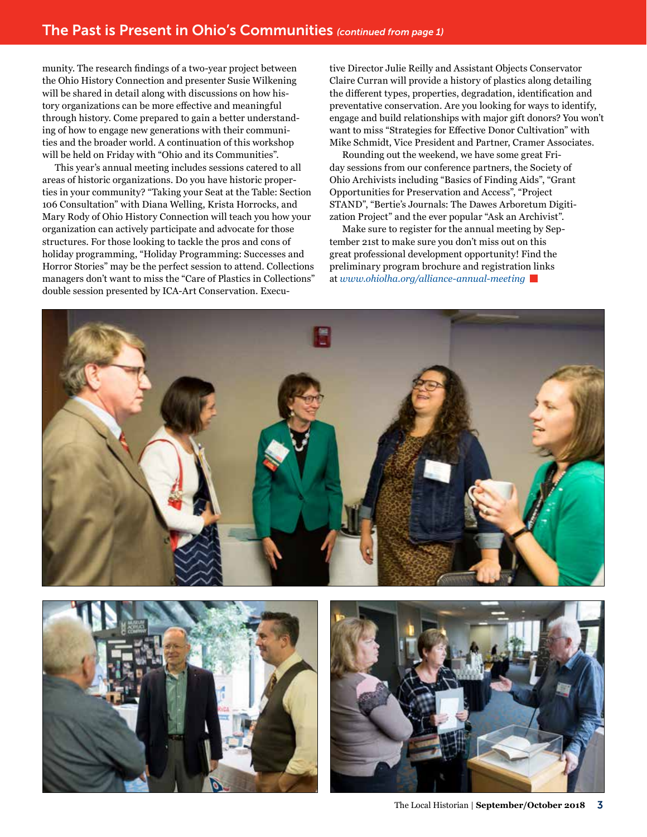munity. The research findings of a two-year project between the Ohio History Connection and presenter Susie Wilkening will be shared in detail along with discussions on how history organizations can be more effective and meaningful through history. Come prepared to gain a better understanding of how to engage new generations with their communities and the broader world. A continuation of this workshop will be held on Friday with "Ohio and its Communities".

This year's annual meeting includes sessions catered to all areas of historic organizations. Do you have historic properties in your community? "Taking your Seat at the Table: Section 106 Consultation" with Diana Welling, Krista Horrocks, and Mary Rody of Ohio History Connection will teach you how your organization can actively participate and advocate for those structures. For those looking to tackle the pros and cons of holiday programming, "Holiday Programming: Successes and Horror Stories" may be the perfect session to attend. Collections managers don't want to miss the "Care of Plastics in Collections" double session presented by ICA-Art Conservation. Executive Director Julie Reilly and Assistant Objects Conservator Claire Curran will provide a history of plastics along detailing the different types, properties, degradation, identification and preventative conservation. Are you looking for ways to identify, engage and build relationships with major gift donors? You won't want to miss "Strategies for Effective Donor Cultivation" with Mike Schmidt, Vice President and Partner, Cramer Associates.

Rounding out the weekend, we have some great Friday sessions from our conference partners, the Society of Ohio Archivists including "Basics of Finding Aids", "Grant Opportunities for Preservation and Access", "Project STAND", "Bertie's Journals: The Dawes Arboretum Digitization Project" and the ever popular "Ask an Archivist".

Make sure to register for the annual meeting by September 21st to make sure you don't miss out on this great professional development opportunity! Find the preliminary program brochure and registration links at *[www.ohiolha.org/alliance-annual-meeting](http://www.ohiolha.org/alliance-annual-meeting)*





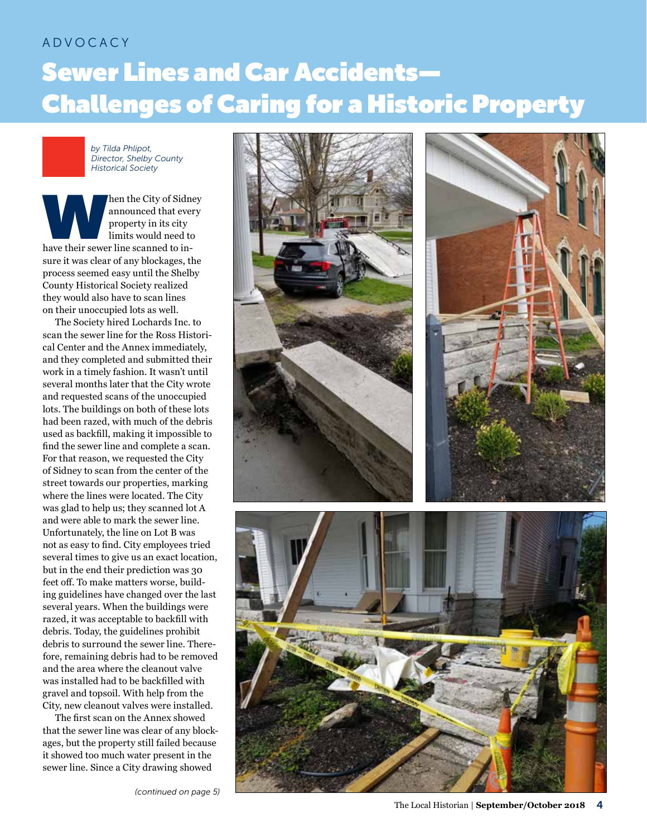## ADVOCACY Sewer Lines and Car Accidents— Challenges of Caring for a Historic Property

*by Tilda Phlipot, Director, Shelby County Historical Society*

hen the City of Sidney<br>
announced that every<br>
property in its city<br>
limits would need to<br>
have their sewer line scanned to inannounced that every property in its city limits would need to sure it was clear of any blockages, the process seemed easy until the Shelby County Historical Society realized they would also have to scan lines on their unoccupied lots as well.

The Society hired Lochards Inc. to scan the sewer line for the Ross Historical Center and the Annex immediately, and they completed and submitted their work in a timely fashion. It wasn't until several months later that the City wrote and requested scans of the unoccupied lots. The buildings on both of these lots had been razed, with much of the debris used as backfill, making it impossible to find the sewer line and complete a scan. For that reason, we requested the City of Sidney to scan from the center of the street towards our properties, marking where the lines were located. The City was glad to help us; they scanned lot A and were able to mark the sewer line. Unfortunately, the line on Lot B was not as easy to find. City employees tried several times to give us an exact location, but in the end their prediction was 30 feet off. To make matters worse, building guidelines have changed over the last several years. When the buildings were razed, it was acceptable to backfill with debris. Today, the guidelines prohibit debris to surround the sewer line. Therefore, remaining debris had to be removed and the area where the cleanout valve was installed had to be backfilled with gravel and topsoil. With help from the City, new cleanout valves were installed.

The first scan on the Annex showed that the sewer line was clear of any blockages, but the property still failed because it showed too much water present in the sewer line. Since a City drawing showed

*(continued on page 5)*

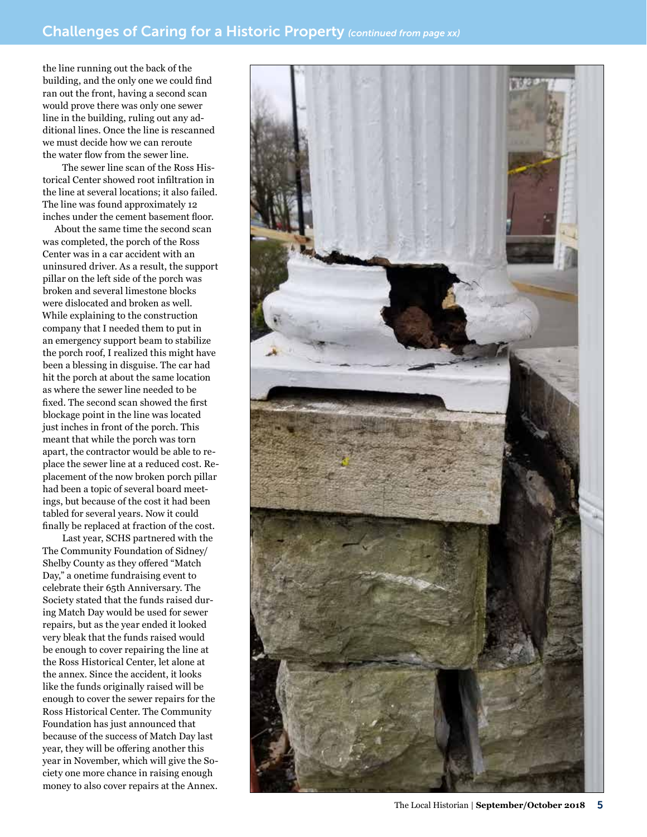the line running out the back of the building, and the only one we could find ran out the front, having a second scan would prove there was only one sewer line in the building, ruling out any additional lines. Once the line is rescanned we must decide how we can reroute the water flow from the sewer line.

The sewer line scan of the Ross Historical Center showed root infiltration in the line at several locations; it also failed. The line was found approximately 12 inches under the cement basement floor.

About the same time the second scan was completed, the porch of the Ross Center was in a car accident with an uninsured driver. As a result, the support pillar on the left side of the porch was broken and several limestone blocks were dislocated and broken as well. While explaining to the construction company that I needed them to put in an emergency support beam to stabilize the porch roof, I realized this might have been a blessing in disguise. The car had hit the porch at about the same location as where the sewer line needed to be fixed. The second scan showed the first blockage point in the line was located just inches in front of the porch. This meant that while the porch was torn apart, the contractor would be able to replace the sewer line at a reduced cost. Replacement of the now broken porch pillar had been a topic of several board meetings, but because of the cost it had been tabled for several years. Now it could finally be replaced at fraction of the cost.

Last year, SCHS partnered with the The Community Foundation of Sidney/ Shelby County as they offered "Match Day," a onetime fundraising event to celebrate their 65th Anniversary. The Society stated that the funds raised during Match Day would be used for sewer repairs, but as the year ended it looked very bleak that the funds raised would be enough to cover repairing the line at the Ross Historical Center, let alone at the annex. Since the accident, it looks like the funds originally raised will be enough to cover the sewer repairs for the Ross Historical Center. The Community Foundation has just announced that because of the success of Match Day last year, they will be offering another this year in November, which will give the Society one more chance in raising enough money to also cover repairs at the Annex.

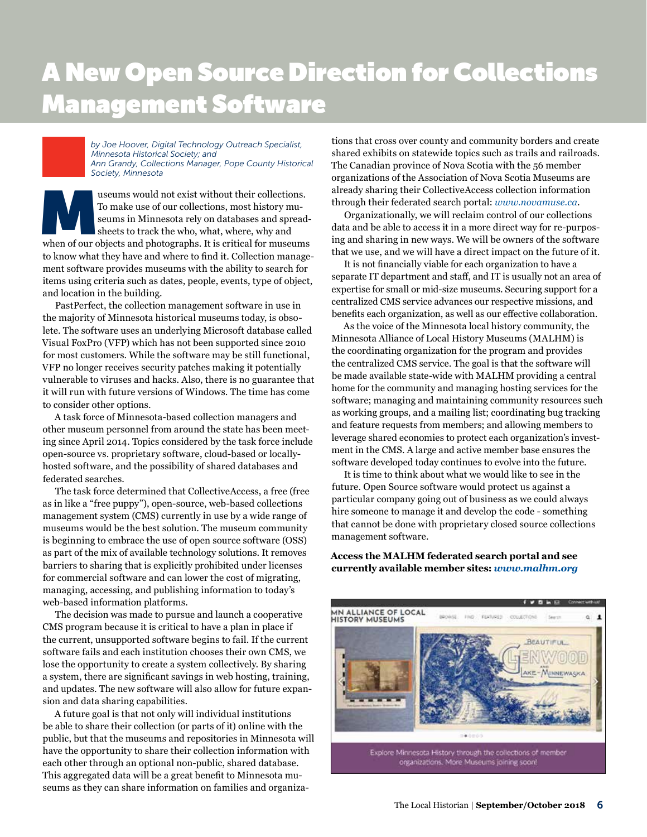## A New Open Source Direction for Collections Management Software

*by Joe Hoover, Digital Technology Outreach Specialist, Minnesota Historical Society; and Ann Grandy, Collections Manager, Pope County Historical Society, Minnesota*

would not exist without their collections.<br>To make use of our collections, most history museums in Minnesota rely on databases and spread-<br>sheets to track the who, what, where, why and<br>when of our objects and photographs. To make use of our collections, most history museums in Minnesota rely on databases and spreadsheets to track the who, what, where, why and to know what they have and where to find it. Collection management software provides museums with the ability to search for items using criteria such as dates, people, events, type of object, and location in the building.

PastPerfect, the collection management software in use in the majority of Minnesota historical museums today, is obsolete. The software uses an underlying Microsoft database called Visual FoxPro (VFP) which has not been supported since 2010 for most customers. While the software may be still functional, VFP no longer receives security patches making it potentially vulnerable to viruses and hacks. Also, there is no guarantee that it will run with future versions of Windows. The time has come to consider other options.

A task force of Minnesota-based collection managers and other museum personnel from around the state has been meeting since April 2014. Topics considered by the task force include open-source vs. proprietary software, cloud-based or locallyhosted software, and the possibility of shared databases and federated searches.

The task force determined that CollectiveAccess, a free (free as in like a "free puppy"), open-source, web-based collections management system (CMS) currently in use by a wide range of museums would be the best solution. The museum community is beginning to embrace the use of open source software (OSS) as part of the mix of available technology solutions. It removes barriers to sharing that is explicitly prohibited under licenses for commercial software and can lower the cost of migrating, managing, accessing, and publishing information to today's web-based information platforms.

The decision was made to pursue and launch a cooperative CMS program because it is critical to have a plan in place if the current, unsupported software begins to fail. If the current software fails and each institution chooses their own CMS, we lose the opportunity to create a system collectively. By sharing a system, there are significant savings in web hosting, training, and updates. The new software will also allow for future expansion and data sharing capabilities.

A future goal is that not only will individual institutions be able to share their collection (or parts of it) online with the public, but that the museums and repositories in Minnesota will have the opportunity to share their collection information with each other through an optional non-public, shared database. This aggregated data will be a great benefit to Minnesota museums as they can share information on families and organiza-

tions that cross over county and community borders and create shared exhibits on statewide topics such as trails and railroads. The Canadian province of Nova Scotia with the 56 member organizations of the Association of Nova Scotia Museums are already sharing their CollectiveAccess collection information through their federated search portal: *[www.novamuse.ca](http://www.novamuse.ca)*.

Organizationally, we will reclaim control of our collections data and be able to access it in a more direct way for re-purposing and sharing in new ways. We will be owners of the software that we use, and we will have a direct impact on the future of it.

It is not financially viable for each organization to have a separate IT department and staff, and IT is usually not an area of expertise for small or mid-size museums. Securing support for a centralized CMS service advances our respective missions, and benefits each organization, as well as our effective collaboration.

As the voice of the Minnesota local history community, the Minnesota Alliance of Local History Museums (MALHM) is the coordinating organization for the program and provides the centralized CMS service. The goal is that the software will be made available state-wide with MALHM providing a central home for the community and managing hosting services for the software; managing and maintaining community resources such as working groups, and a mailing list; coordinating bug tracking and feature requests from members; and allowing members to leverage shared economies to protect each organization's investment in the CMS. A large and active member base ensures the software developed today continues to evolve into the future.

It is time to think about what we would like to see in the future. Open Source software would protect us against a particular company going out of business as we could always hire someone to manage it and develop the code - something that cannot be done with proprietary closed source collections management software.

**Access the MALHM federated search portal and see currently available member sites:** *[www.malhm.org](http://www.malhm.org)*

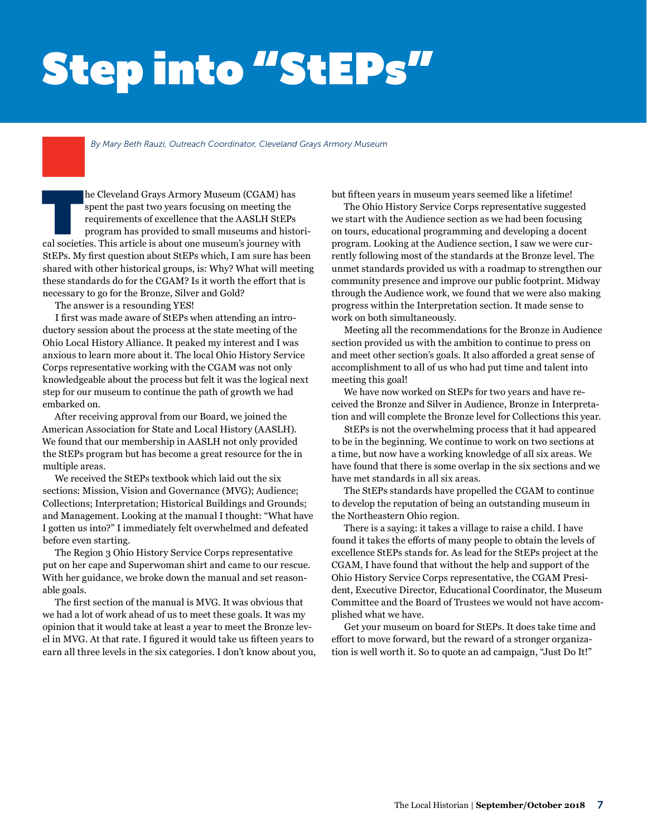# Step into "StEPs"

*By Mary Beth Rauzi, Outreach Coordinator, Cleveland Grays Armory Museum*

In the Cleveland Grays Armory Museum (CGAM) has spent the past two years focusing on meeting the requirements of excellence that the AASLH StEPs program has provided to small museums and histored societies. This article is spent the past two years focusing on meeting the requirements of excellence that the AASLH StEPs program has provided to small museums and histori-StEPs. My first question about StEPs which, I am sure has been shared with other historical groups, is: Why? What will meeting these standards do for the CGAM? Is it worth the effort that is necessary to go for the Bronze, Silver and Gold?

The answer is a resounding YES!

I first was made aware of StEPs when attending an introductory session about the process at the state meeting of the Ohio Local History Alliance. It peaked my interest and I was anxious to learn more about it. The local Ohio History Service Corps representative working with the CGAM was not only knowledgeable about the process but felt it was the logical next step for our museum to continue the path of growth we had embarked on.

After receiving approval from our Board, we joined the American Association for State and Local History (AASLH). We found that our membership in AASLH not only provided the StEPs program but has become a great resource for the in multiple areas.

We received the StEPs textbook which laid out the six sections: Mission, Vision and Governance (MVG); Audience; Collections; Interpretation; Historical Buildings and Grounds; and Management. Looking at the manual I thought: "What have I gotten us into?" I immediately felt overwhelmed and defeated before even starting.

The Region 3 Ohio History Service Corps representative put on her cape and Superwoman shirt and came to our rescue. With her guidance, we broke down the manual and set reasonable goals.

The first section of the manual is MVG. It was obvious that we had a lot of work ahead of us to meet these goals. It was my opinion that it would take at least a year to meet the Bronze level in MVG. At that rate. I figured it would take us fifteen years to earn all three levels in the six categories. I don't know about you, but fifteen years in museum years seemed like a lifetime!

The Ohio History Service Corps representative suggested we start with the Audience section as we had been focusing on tours, educational programming and developing a docent program. Looking at the Audience section, I saw we were currently following most of the standards at the Bronze level. The unmet standards provided us with a roadmap to strengthen our community presence and improve our public footprint. Midway through the Audience work, we found that we were also making progress within the Interpretation section. It made sense to work on both simultaneously.

Meeting all the recommendations for the Bronze in Audience section provided us with the ambition to continue to press on and meet other section's goals. It also afforded a great sense of accomplishment to all of us who had put time and talent into meeting this goal!

We have now worked on StEPs for two years and have received the Bronze and Silver in Audience, Bronze in Interpretation and will complete the Bronze level for Collections this year.

StEPs is not the overwhelming process that it had appeared to be in the beginning. We continue to work on two sections at a time, but now have a working knowledge of all six areas. We have found that there is some overlap in the six sections and we have met standards in all six areas.

The StEPs standards have propelled the CGAM to continue to develop the reputation of being an outstanding museum in the Northeastern Ohio region.

There is a saying: it takes a village to raise a child. I have found it takes the efforts of many people to obtain the levels of excellence StEPs stands for. As lead for the StEPs project at the CGAM, I have found that without the help and support of the Ohio History Service Corps representative, the CGAM President, Executive Director, Educational Coordinator, the Museum Committee and the Board of Trustees we would not have accomplished what we have.

Get your museum on board for StEPs. It does take time and effort to move forward, but the reward of a stronger organization is well worth it. So to quote an ad campaign, "Just Do It!"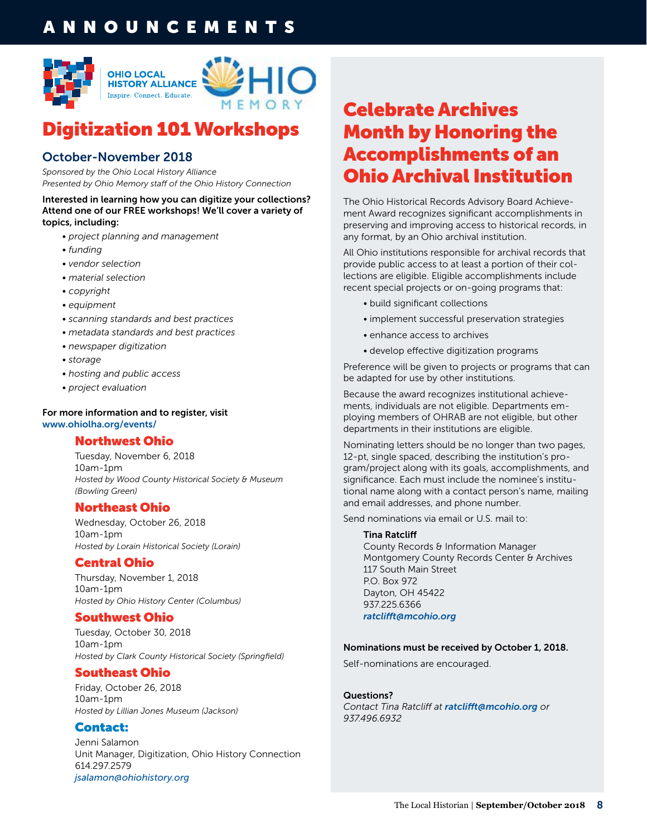## **NNOUNCEMENTS**



## Digitization 101 Workshops

## October-November 2018

*Sponsored by the Ohio Local History Alliance Presented by Ohio Memory staff of the Ohio History Connection*

Interested in learning how you can digitize your collections? Attend one of our FREE workshops! We'll cover a variety of topics, including:

- *project planning and management*
- *funding*
- *vendor selection*
- *material selection*
- *copyright*
- *equipment*
- *scanning standards and best practices*
- *metadata standards and best practices*
- *newspaper digitization*
- *storage*
- *hosting and public access*
- *project evaluation*

#### For more information and to register, visit www.ohiolha.org/events/

#### Northwest Ohio

Tuesday, November 6, 2018 10am-1pm *Hosted by Wood County Historical Society & Museum (Bowling Green)*

#### Northeast Ohio

Wednesday, October 26, 2018 10am-1pm *Hosted by Lorain Historical Society (Lorain)*

#### Central Ohio

Thursday, November 1, 2018 10am-1pm *Hosted by Ohio History Center (Columbus)*

#### Southwest Ohio

Tuesday, October 30, 2018 10am-1pm *Hosted by Clark County Historical Society (Springfield)*

#### Southeast Ohio

Friday, October 26, 2018 10am-1pm *Hosted by Lillian Jones Museum (Jackson)*

#### Contact:

Jenni Salamon Unit Manager, Digitization, Ohio History Connection 614.297.2579 *[jsalamon@ohiohistory.org](mailto:jsalamon@ohiohistory.org)*

## Celebrate Archives Month by Honoring the Accomplishments of an Ohio Archival Institution

The Ohio Historical Records Advisory Board Achievement Award recognizes significant accomplishments in preserving and improving access to historical records, in any format, by an Ohio archival institution.

All Ohio institutions responsible for archival records that provide public access to at least a portion of their collections are eligible. Eligible accomplishments include recent special projects or on-going programs that:

- *•* build significant collections
- *•* implement successful preservation strategies
- *•* enhance access to archives
- *•* develop effective digitization programs

Preference will be given to projects or programs that can be adapted for use by other institutions.

Because the award recognizes institutional achievements, individuals are not eligible. Departments employing members of OHRAB are not eligible, but other departments in their institutions are eligible.

Nominating letters should be no longer than two pages, 12-pt, single spaced, describing the institution's program/project along with its goals, accomplishments, and significance. Each must include the nominee's institutional name along with a contact person's name, mailing and email addresses, and phone number.

Send nominations via email or U.S. mail to:

#### Tina Ratcliff

County Records & Information Manager Montgomery County Records Center & Archives 117 South Main Street P.O. Box 972 Dayton, OH 45422 937.225.6366 *[ratclifft@mcohio.org](mailto:ratclifft@mcohio.org)*

#### Nominations must be received by October 1, 2018.

Self-nominations are encouraged.

Questions?

*Contact Tina Ratcliff at [ratclifft@mcohio.org](mailto:ratclifft@mcohio.org) or 937.496.6932*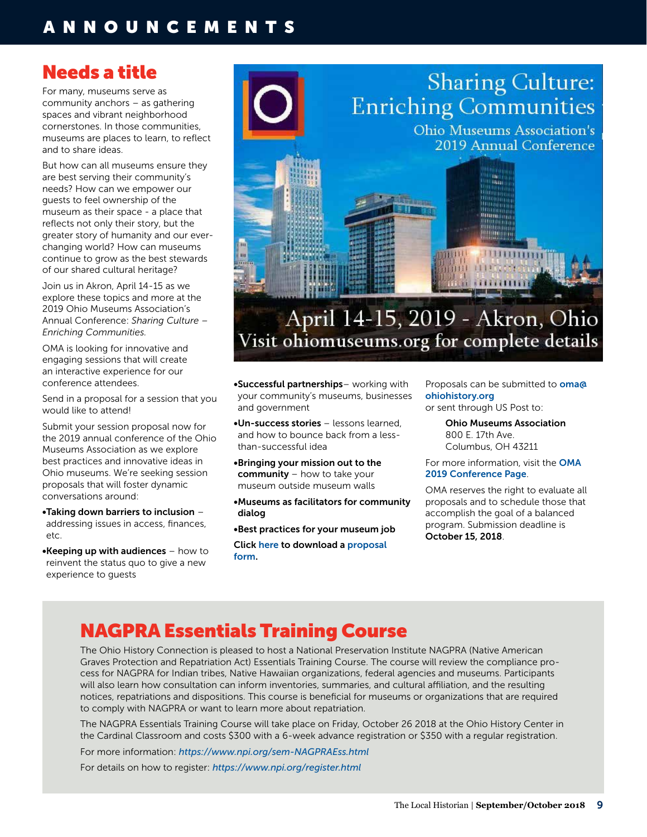## ANNOUNCEMENTS

## Needs a title

For many, museums serve as community anchors – as gathering spaces and vibrant neighborhood cornerstones. In those communities, museums are places to learn, to reflect and to share ideas.

But how can all museums ensure they are best serving their community's needs? How can we empower our guests to feel ownership of the museum as their space - a place that reflects not only their story, but the greater story of humanity and our everchanging world? How can museums continue to grow as the best stewards of our shared cultural heritage?

Join us in Akron, April 14-15 as we explore these topics and more at the 2019 Ohio Museums Association's Annual Conference: *Sharing Culture – Enriching Communities.*

OMA is looking for innovative and engaging sessions that will create an interactive experience for our conference attendees.

Send in a proposal for a session that you would like to attend!

Submit your session proposal now for the 2019 annual conference of the Ohio Museums Association as we explore best practices and innovative ideas in Ohio museums. We're seeking session proposals that will foster dynamic conversations around:

•Taking down barriers to inclusion – addressing issues in access, finances, etc.

•Keeping up with audiences – how to reinvent the status quo to give a new experience to guests



#### •Successful partnerships– working with your community's museums, businesses and government

•Un-success stories – lessons learned, and how to bounce back from a lessthan-successful idea

•Bringing your mission out to the community – how to take your museum outside museum walls

•Museums as facilitators for community dialog

•Best practices for your museum job

Click [here](https://www.ohiomuseums.org/2019_Conference/Event_Details.aspx?WebsiteKey=108b7955-dca4-4257-9687-9c988f40d910&hkey=bd2ac18a-1310-4f72-9e44-44119753eb9f&Event_Tabs=2#/Event_Tabs) to download a [proposal](https://www.ohiomuseums.org/2019_Conference/Event_Details.aspx?WebsiteKey=108b7955-dca4-4257-9687-9c988f40d910&hkey=bd2ac18a-1310-4f72-9e44-44119753eb9f&Event_Tabs=2#/Event_Tabs)  [form.](https://www.ohiomuseums.org/2019_Conference/Event_Details.aspx?WebsiteKey=108b7955-dca4-4257-9687-9c988f40d910&hkey=bd2ac18a-1310-4f72-9e44-44119753eb9f&Event_Tabs=2#/Event_Tabs)

Proposals can be submitted to **[oma@](mailto:oma%40ohiohistory.org?subject=)** [ohiohistory.org](mailto:oma%40ohiohistory.org?subject=) or sent through US Post to:

> Ohio Museums Association 800 E. 17th Ave. Columbus, OH 43211

For more information, visit the [OMA](https://www.ohiomuseums.org/2019Conference/Home/2019_Conference/Default.aspx?hkey=70b9ce05-f31d-4640-92b3-0fc70e366200)  [2019 Conference Page](https://www.ohiomuseums.org/2019Conference/Home/2019_Conference/Default.aspx?hkey=70b9ce05-f31d-4640-92b3-0fc70e366200).

OMA reserves the right to evaluate all proposals and to schedule those that accomplish the goal of a balanced program. Submission deadline is October 15, 2018.

## NAGPRA Essentials Training Course

The Ohio History Connection is pleased to host a National Preservation Institute NAGPRA (Native American Graves Protection and Repatriation Act) Essentials Training Course. The course will review the compliance process for NAGPRA for Indian tribes, Native Hawaiian organizations, federal agencies and museums. Participants will also learn how consultation can inform inventories, summaries, and cultural affiliation, and the resulting notices, repatriations and dispositions. This course is beneficial for museums or organizations that are required to comply with NAGPRA or want to learn more about repatriation.

The NAGPRA Essentials Training Course will take place on Friday, October 26 2018 at the Ohio History Center in the Cardinal Classroom and costs \$300 with a 6-week advance registration or \$350 with a regular registration.

For more information: *<https://www.npi.org/sem-NAGPRAEss.html>* For details on how to register: *<https://www.npi.org/register.html>*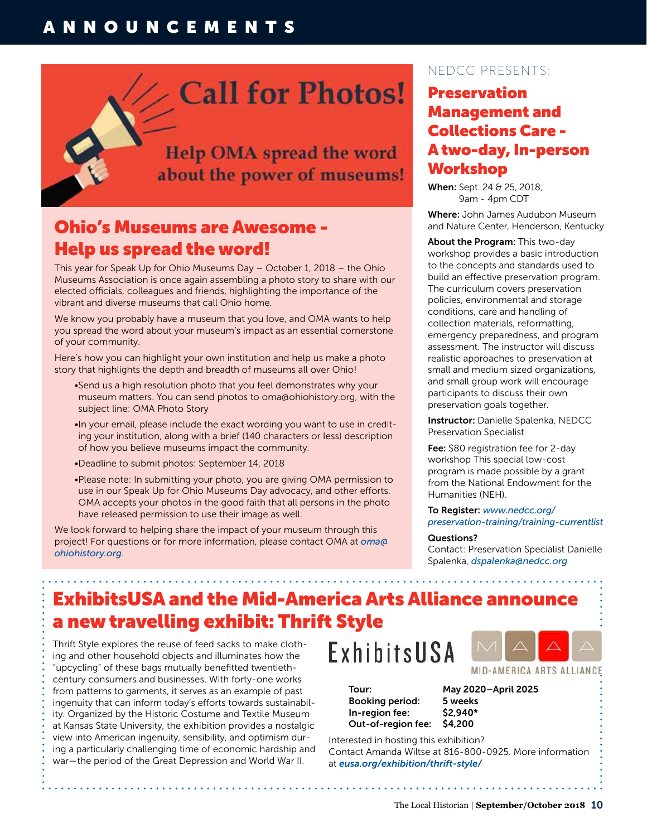## ANNOUNCEMENTS

# Call for Photos!

**Help OMA spread the word** about the power of museums!

## Ohio's Museums are Awesome - Help us spread the word!

This year for Speak Up for Ohio Museums Day – October 1, 2018 – the Ohio Museums Association is once again assembling a photo story to share with our elected officials, colleagues and friends, highlighting the importance of the vibrant and diverse museums that call Ohio home.

We know you probably have a museum that you love, and OMA wants to help you spread the word about your museum's impact as an essential cornerstone of your community.

Here's how you can highlight your own institution and help us make a photo story that highlights the depth and breadth of museums all over Ohio!

- •Send us a high resolution photo that you feel demonstrates why your museum matters. You can send photos to oma@ohiohistory.org, with the subject line: OMA Photo Story
- •In your email, please include the exact wording you want to use in crediting your institution, along with a brief (140 characters or less) description of how you believe museums impact the community.
- •Deadline to submit photos: September 14, 2018
- •Please note: In submitting your photo, you are giving OMA permission to use in our Speak Up for Ohio Museums Day advocacy, and other efforts. OMA accepts your photos in the good faith that all persons in the photo have released permission to use their image as well.

We look forward to helping share the impact of your museum through this project! For questions or for more information, please contact OMA at *[oma@](mailto:oma@ohiohistory.org) [ohiohistory.org](mailto:oma@ohiohistory.org)*.

### NEDCC PRESENTS:

## Preservation Management and Collections Care - A two-day, In-person Workshop

When: Sept. 24 & 25, 2018, 9am - 4pm CDT

Where: John James Audubon Museum and Nature Center, Henderson, Kentucky

About the Program: This two-day workshop provides a basic introduction to the concepts and standards used to build an effective preservation program. The curriculum covers preservation policies, environmental and storage conditions, care and handling of collection materials, reformatting, emergency preparedness, and program assessment. The instructor will discuss realistic approaches to preservation at small and medium sized organizations, and small group work will encourage participants to discuss their own preservation goals together.

Instructor: Danielle Spalenka, NEDCC Preservation Specialist

Fee: \$80 registration fee for 2-day workshop This special low-cost program is made possible by a grant from the National Endowment for the Humanities (NEH).

#### To Register: *[www.nedcc.org/](https://www.nedcc.org/preservation-training/training-currentlist) [preservation-training/training-currentlist](https://www.nedcc.org/preservation-training/training-currentlist)*

Questions?

Contact: Preservation Specialist Danielle Spalenka, *[dspalenka@nedcc.org](mailto:dspalenka@nedcc.org)*

MID-AMERICA ARTS ALLIANCE

## ExhibitsUSA and the Mid-America Arts Alliance announce a new travelling exhibit: Thrift Style

Thrift Style explores the reuse of feed sacks to make clothing and other household objects and illuminates how the "upcycling" of these bags mutually benefitted twentiethcentury consumers and businesses. With forty-one works from patterns to garments, it serves as an example of past ingenuity that can inform today's efforts towards sustainability. Organized by the Historic Costume and Textile Museum at Kansas State University, the exhibition provides a nostalgic view into American ingenuity, sensibility, and optimism during a particularly challenging time of economic hardship and war—the period of the Great Depression and World War II.

# ExhibitsUSA

Tour: May 2020–April 2025 Booking period: 5 weeks In-region fee: \$2,940\* Out-of-region fee: \$4,200

Interested in hosting this exhibition? Contact Amanda Wiltse at 816-800-0925. More information at *[eusa.org/exhibition/thrift-style/](https://eusa.org/exhibition/thrift-style/)*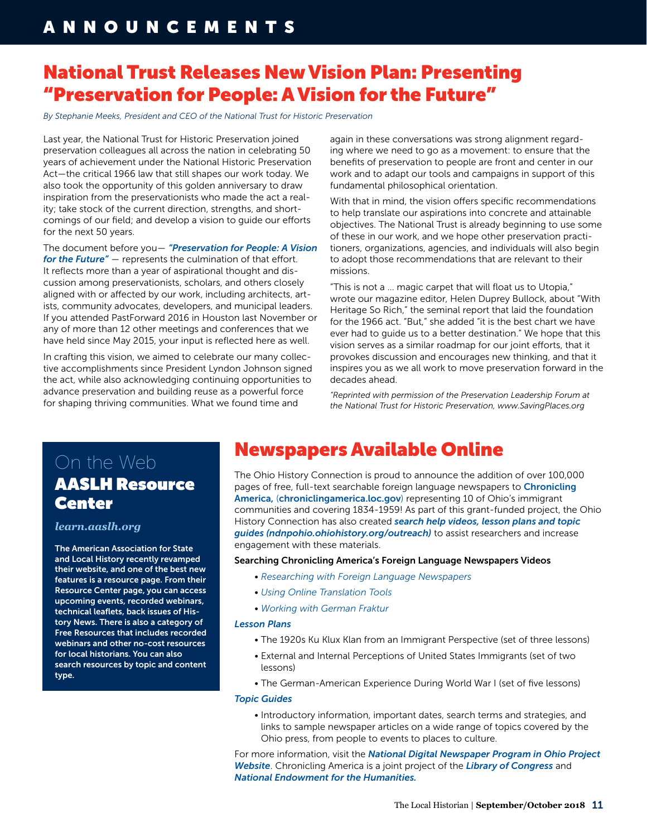## National Trust Releases New Vision Plan: Presenting "Preservation for People: A Vision for the Future"

*By Stephanie Meeks, President and CEO of the National Trust for Historic Preservation*

Last year, the National Trust for Historic Preservation joined preservation colleagues all across the nation in celebrating 50 years of achievement under the National Historic Preservation Act—the critical 1966 law that still shapes our work today. We also took the opportunity of this golden anniversary to draw inspiration from the preservationists who made the act a reality; take stock of the current direction, strengths, and shortcomings of our field; and develop a vision to guide our efforts for the next 50 years.

The document before you— *["Preservation for People: A Vision](https://forum.savingplaces.org/HigherLogic/System/DownloadDocumentFile.ashx?DocumentFileKey=57133684-4c32-4863-5965-96476f7b4dab&forceDialog=0) [for the Future"](https://forum.savingplaces.org/HigherLogic/System/DownloadDocumentFile.ashx?DocumentFileKey=57133684-4c32-4863-5965-96476f7b4dab&forceDialog=0)* — represents the culmination of that effort. It reflects more than a year of aspirational thought and discussion among preservationists, scholars, and others closely aligned with or affected by our work, including architects, artists, community advocates, developers, and municipal leaders. If you attended PastForward 2016 in Houston last November or any of more than 12 other meetings and conferences that we have held since May 2015, your input is reflected here as well.

In crafting this vision, we aimed to celebrate our many collective accomplishments since President Lyndon Johnson signed the act, while also acknowledging continuing opportunities to advance preservation and building reuse as a powerful force for shaping thriving communities. What we found time and

again in these conversations was strong alignment regarding where we need to go as a movement: to ensure that the benefits of preservation to people are front and center in our work and to adapt our tools and campaigns in support of this fundamental philosophical orientation.

With that in mind, the vision offers specific recommendations to help translate our aspirations into concrete and attainable objectives. The National Trust is already beginning to use some of these in our work, and we hope other preservation practitioners, organizations, agencies, and individuals will also begin to adopt those recommendations that are relevant to their missions.

"This is not a … magic carpet that will float us to Utopia," wrote our magazine editor, Helen Duprey Bullock, about "With Heritage So Rich," the seminal report that laid the foundation for the 1966 act. "But," she added "it is the best chart we have ever had to guide us to a better destination." We hope that this vision serves as a similar roadmap for our joint efforts, that it provokes discussion and encourages new thinking, and that it inspires you as we all work to move preservation forward in the decades ahead.

*"Reprinted with permission of the Preservation Leadership Forum at the National Trust for Historic Preservation, www.SavingPlaces.org*

## On the Web AASLH Resource **Center**

#### *[learn.aaslh.org](https://learn.aaslh.org/)*

The American Association for State and Local History recently revamped their website, and one of the best new features is a resource page. From their Resource Center page, you can access upcoming events, recorded webinars, technical leaflets, back issues of History News. There is also a category of Free Resources that includes recorded webinars and other no-cost resources for local historians. You can also search resources by topic and content type.

## Newspapers Available Online

The Ohio History Connection is proud to announce the addition of over 100,000 pages of free, full-text searchable foreign language newspapers to Chronicling [America,](https://chroniclingamerica.loc.gov/) ([chroniclingamerica.loc.gov](https://chroniclingamerica.loc.gov/)) representing 10 of Ohio's immigrant communities and covering 1834-1959! As part of this grant-funded project, the Ohio History Connection has also created *[search help videos, lesson plans and topic](http://ndnpohio.ohiohistory.org/outreach)  [guides](http://ndnpohio.ohiohistory.org/outreach) [\(ndnpohio.ohiohistory.org/outreach\)](http://ndnpohio.ohiohistory.org/outreach)* to assist researchers and increase engagement with these materials.

Searching Chronicling America's Foreign Language Newspapers Videos

- *[Researching with Foreign Language Newspapers](https://www.youtube.com/watch?v=0RJTbkvUPJk&feature=youtu.be)*
- *[Using Online Translation Tools](https://www.youtube.com/watch?v=Jy21vJeHdM4&feature=youtu.be)*
- *[Working with German Fraktur](https://www.youtube.com/watch?v=6segH-GbxrM&feature=youtu.be)*

#### *[Lesson Plans](http://ndnpohio.ohiohistory.org/outreach)*

- The 1920s Ku Klux Klan from an Immigrant Perspective (set of three lessons)
- External and Internal Perceptions of United States Immigrants (set of two lessons)
- The German-American Experience During World War I (set of five lessons)

#### *[Topic Guides](http://www.ohiohistoryhost.org/ohiomemory/resources/featured-topics)*

• Introductory information, important dates, search terms and strategies, and links to sample newspaper articles on a wide range of topics covered by the Ohio press, from people to events to places to culture.

For more information, visit the *[National Digital Newspaper Program in Ohio Project](http://ndnpohio.ohiohistory.org/ )  [Website](http://ndnpohio.ohiohistory.org/ )*. Chronicling America is a joint project of the *[Library of Congress](https://www.loc.gov/)* and *[National Endowment for the Humanities.](https://www.neh.gov/)*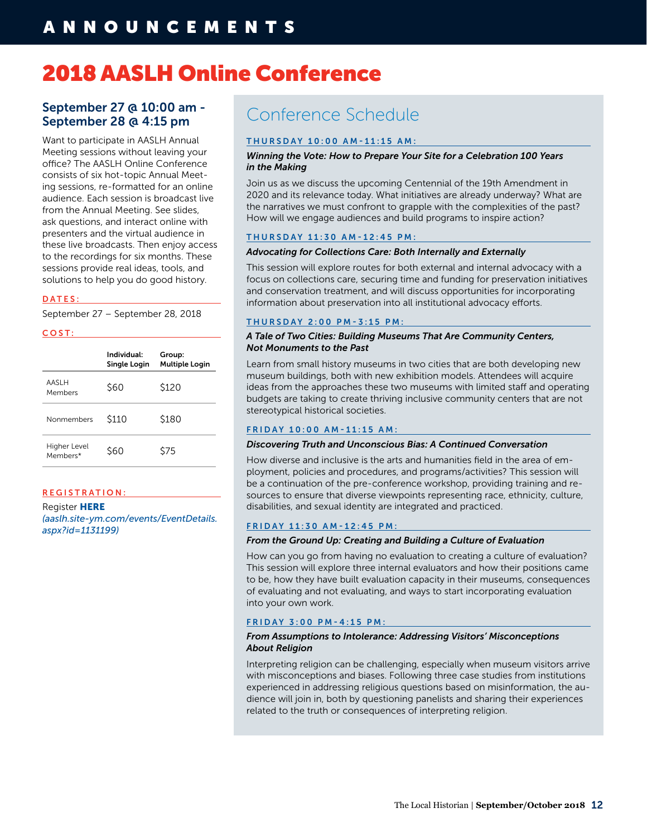## 2018 AASLH Online Conference

#### September 27 @ 10:00 am - September 28 @ 4:15 pm

Want to participate in AASLH Annual Meeting sessions without leaving your office? The AASLH Online Conference consists of six hot-topic Annual Meeting sessions, re-formatted for an online audience. Each session is broadcast live from the Annual Meeting. See slides, ask questions, and interact online with presenters and the virtual audience in these live broadcasts. Then enjoy access to the recordings for six months. These sessions provide real ideas, tools, and solutions to help you do good history.

#### DATES:

September 27 – September 28, 2018

#### COST:

|                          | Individual:<br>Single Login | Group:<br><b>Multiple Login</b> |
|--------------------------|-----------------------------|---------------------------------|
| AASLH<br>Members         | \$60                        | \$120                           |
| Nonmembers               | \$110                       | \$180                           |
| Higher Level<br>Members* | \$60                        | \$75                            |

#### REGISTRATION:

**Register HERE** *[\(aaslh.site-ym.com/events/EventDetails.](https://aaslh.site-ym.com/events/EventDetails.aspx?id=1131199) [aspx?id=1131199\)](https://aaslh.site-ym.com/events/EventDetails.aspx?id=1131199)*

## Conference Schedule

#### THURSDAY 10:00 AM-11:15 AM:

#### *Winning the Vote: How to Prepare Your Site for a Celebration 100 Years in the Making*

Join us as we discuss the upcoming Centennial of the 19th Amendment in 2020 and its relevance today. What initiatives are already underway? What are the narratives we must confront to grapple with the complexities of the past? How will we engage audiences and build programs to inspire action?

#### THURSDAY 11:30 AM-12:45 PM:

#### *Advocating for Collections Care: Both Internally and Externally*

This session will explore routes for both external and internal advocacy with a focus on collections care, securing time and funding for preservation initiatives and conservation treatment, and will discuss opportunities for incorporating information about preservation into all institutional advocacy efforts.

#### THURSDAY 2:00 PM-3:15 PM:

#### *A Tale of Two Cities: Building Museums That Are Community Centers, Not Monuments to the Past*

Learn from small history museums in two cities that are both developing new museum buildings, both with new exhibition models. Attendees will acquire ideas from the approaches these two museums with limited staff and operating budgets are taking to create thriving inclusive community centers that are not stereotypical historical societies.

#### FRIDAY 10:00 AM-11:15 AM:

#### *Discovering Truth and Unconscious Bias: A Continued Conversation*

How diverse and inclusive is the arts and humanities field in the area of employment, policies and procedures, and programs/activities? This session will be a continuation of the pre-conference workshop, providing training and resources to ensure that diverse viewpoints representing race, ethnicity, culture, disabilities, and sexual identity are integrated and practiced.

#### FRIDAY 11:30 AM-12:45 PM:

#### *From the Ground Up: Creating and Building a Culture of Evaluation*

How can you go from having no evaluation to creating a culture of evaluation? This session will explore three internal evaluators and how their positions came to be, how they have built evaluation capacity in their museums, consequences of evaluating and not evaluating, and ways to start incorporating evaluation into your own work.

#### FRIDAY 3:00 PM-4:15 PM:

#### *From Assumptions to Intolerance: Addressing Visitors' Misconceptions About Religion*

Interpreting religion can be challenging, especially when museum visitors arrive with misconceptions and biases. Following three case studies from institutions experienced in addressing religious questions based on misinformation, the audience will join in, both by questioning panelists and sharing their experiences related to the truth or consequences of interpreting religion.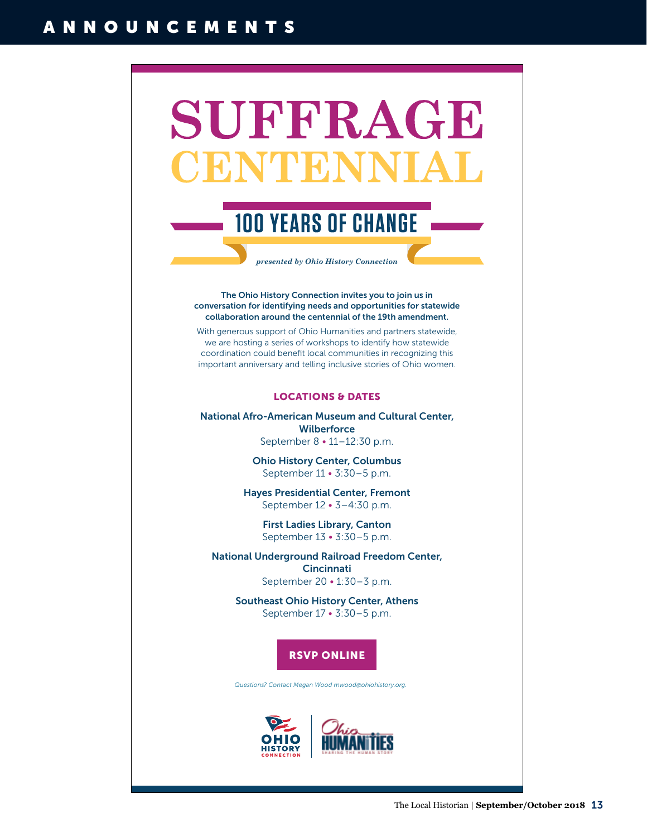# SUFFRAGE 0 NT E N

## **100 YEARS OF CHANGE**

*presented by Ohio History Connection*

The Ohio History Connection invites you to join us in conversation for identifying needs and opportunities for statewide collaboration around the centennial of the 19th amendment.

With generous support of Ohio Humanities and partners statewide, we are hosting a series of workshops to identify how statewide coordination could benefit local communities in recognizing this important anniversary and telling inclusive stories of Ohio women.

#### LOCATIONS & DATES

[National Afro-American Museum and Cultural Center,](https://13329a.blackbaudhosting.com/13329a/19th-Amendment-Centennial-Meetings)  **Wilberforce** September 8 • 11–12:30 p.m.

> Ohio History Center, Columbus September 11 • 3:30–5 p.m.

Hayes Presidential Center, Fremont September 12 • 3–4:30 p.m.

First Ladies Library, Canton September 13 • 3:30–5 p.m.

National Underground Railroad Freedom Center, **Cincinnati** September 20 • 1:30–3 p.m.

> Southeast Ohio History Center, Athens September 17 • 3:30–5 p.m.

### RSVP ONLINE

*Questions? Contact Megan Wood mwood@ohiohistory.org.*

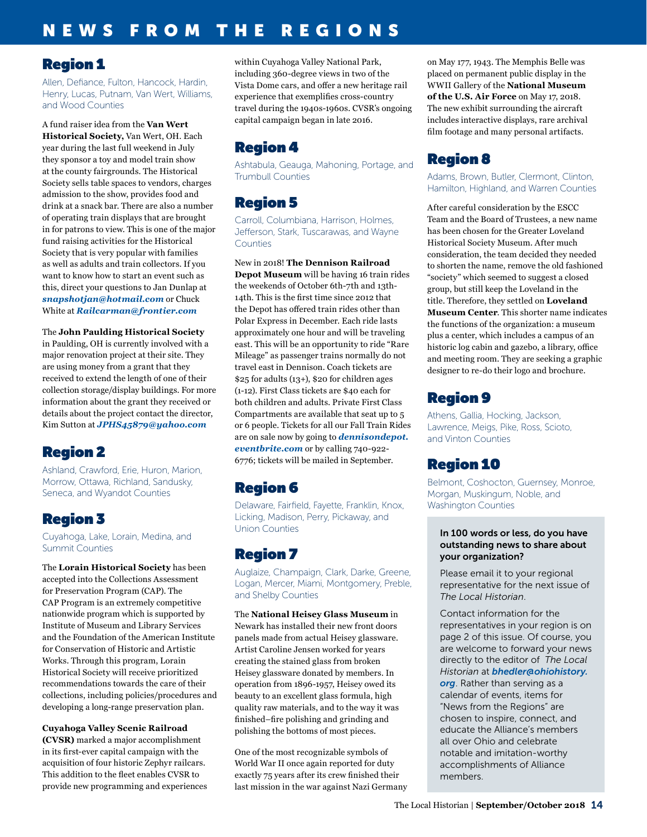## NEWS FROM THE REGIONS

### Region 1

Allen, Defiance, Fulton, Hancock, Hardin, Henry, Lucas, Putnam, Van Wert, Williams, and Wood Counties

A fund raiser idea from the **Van Wert Historical Society,** Van Wert, OH. Each year during the last full weekend in July they sponsor a toy and model train show at the county fairgrounds. The Historical Society sells table spaces to vendors, charges admission to the show, provides food and drink at a snack bar. There are also a number of operating train displays that are brought in for patrons to view. This is one of the major fund raising activities for the Historical Society that is very popular with families as well as adults and train collectors. If you want to know how to start an event such as this, direct your questions to Jan Dunlap at *[snapshotjan@hotmail.com](mailto:snapshotjan@hotmail.com)* or Chuck White at *[Railcarman@frontier.com](mailto:Railcarman@frontier.com)*

The **John Paulding Historical Society** in Paulding, OH is currently involved with a major renovation project at their site. They are using money from a grant that they received to extend the length of one of their collection storage/display buildings. For more information about the grant they received or details about the project contact the director, Kim Sutton at *[JPHS45879@yahoo.com](mailto:JPHS45879@yahoo.com)*

## Region 2

Ashland, Crawford, Erie, Huron, Marion, Morrow, Ottawa, Richland, Sandusky, Seneca, and Wyandot Counties

## Region 3

Cuyahoga, Lake, Lorain, Medina, and Summit Counties

The **Lorain Historical Society** has been accepted into the Collections Assessment for Preservation Program (CAP). The CAP Program is an extremely competitive nationwide program which is supported by Institute of Museum and Library Services and the Foundation of the American Institute for Conservation of Historic and Artistic Works. Through this program, Lorain Historical Society will receive prioritized recommendations towards the care of their collections, including policies/procedures and developing a long-range preservation plan.

**Cuyahoga Valley Scenic Railroad (CVSR)** marked a major accomplishment in its first-ever capital campaign with the acquisition of four historic Zephyr railcars. This addition to the fleet enables CVSR to provide new programming and experiences within Cuyahoga Valley National Park, including 360-degree views in two of the Vista Dome cars, and offer a new heritage rail experience that exemplifies cross-country travel during the 1940s-1960s. CVSR's ongoing capital campaign began in late 2016.

## Region 4

Ashtabula, Geauga, Mahoning, Portage, and Trumbull Counties

## Region 5

Carroll, Columbiana, Harrison, Holmes, Jefferson, Stark, Tuscarawas, and Wayne Counties

New in 2018! **The Dennison Railroad Depot Museum** will be having 16 train rides the weekends of October 6th-7th and 13th-14th. This is the first time since 2012 that the Depot has offered train rides other than Polar Express in December. Each ride lasts approximately one hour and will be traveling east. This will be an opportunity to ride "Rare Mileage" as passenger trains normally do not travel east in Dennison. Coach tickets are \$25 for adults (13+), \$20 for children ages (1-12). First Class tickets are \$40 each for both children and adults. Private First Class Compartments are available that seat up to 5 or 6 people. Tickets for all our Fall Train Rides are on sale now by going to *[dennisondepot.](http://dennisondepot.eventbrite.com) [eventbrite.com](http://dennisondepot.eventbrite.com)* or by calling 740-922- 6776; tickets will be mailed in September.

## Region 6

Delaware, Fairfield, Fayette, Franklin, Knox, Licking, Madison, Perry, Pickaway, and Union Counties

## Region 7

Auglaize, Champaign, Clark, Darke, Greene, Logan, Mercer, Miami, Montgomery, Preble, and Shelby Counties

The **National Heisey Glass Museum** in Newark has installed their new front doors panels made from actual Heisey glassware. Artist Caroline Jensen worked for years creating the stained glass from broken Heisey glassware donated by members. In operation from 1896-1957, Heisey owed its beauty to an excellent glass formula, high quality raw materials, and to the way it was finished–fire polishing and grinding and polishing the bottoms of most pieces.

One of the most recognizable symbols of World War II once again reported for duty exactly 75 years after its crew finished their last mission in the war against Nazi Germany on May 177, 1943. The Memphis Belle was placed on permanent public display in the WWII Gallery of the **National Museum of the U.S. Air Force** on May 17, 2018. The new exhibit surrounding the aircraft includes interactive displays, rare archival film footage and many personal artifacts.

## Region 8

Adams, Brown, Butler, Clermont, Clinton, Hamilton, Highland, and Warren Counties

After careful consideration by the ESCC Team and the Board of Trustees, a new name has been chosen for the Greater Loveland Historical Society Museum. After much consideration, the team decided they needed to shorten the name, remove the old fashioned "society" which seemed to suggest a closed group, but still keep the Loveland in the title. Therefore, they settled on **Loveland Museum Center**. This shorter name indicates the functions of the organization: a museum plus a center, which includes a campus of an historic log cabin and gazebo, a library, office and meeting room. They are seeking a graphic designer to re-do their logo and brochure.

## Region 9

Athens, Gallia, Hocking, Jackson, Lawrence, Meigs, Pike, Ross, Scioto, and Vinton Counties

## Region 10

Belmont, Coshocton, Guernsey, Monroe, Morgan, Muskingum, Noble, and Washington Counties

#### In 100 words or less, do you have outstanding news to share about your organization?

Please email it to your regional representative for the next issue of *The Local Historian*.

Contact information for the representatives in your region is on page 2 of this issue. Of course, you are welcome to forward your news directly to the editor of *The Local Historian* at *[bhedler@ohiohistory.](mailto:bhedler%40ohiohistory.org?subject=) [org](mailto:bhedler%40ohiohistory.org?subject=)*. Rather than serving as a calendar of events, items for "News from the Regions" are chosen to inspire, connect, and educate the Alliance's members all over Ohio and celebrate notable and imitation-worthy accomplishments of Alliance members.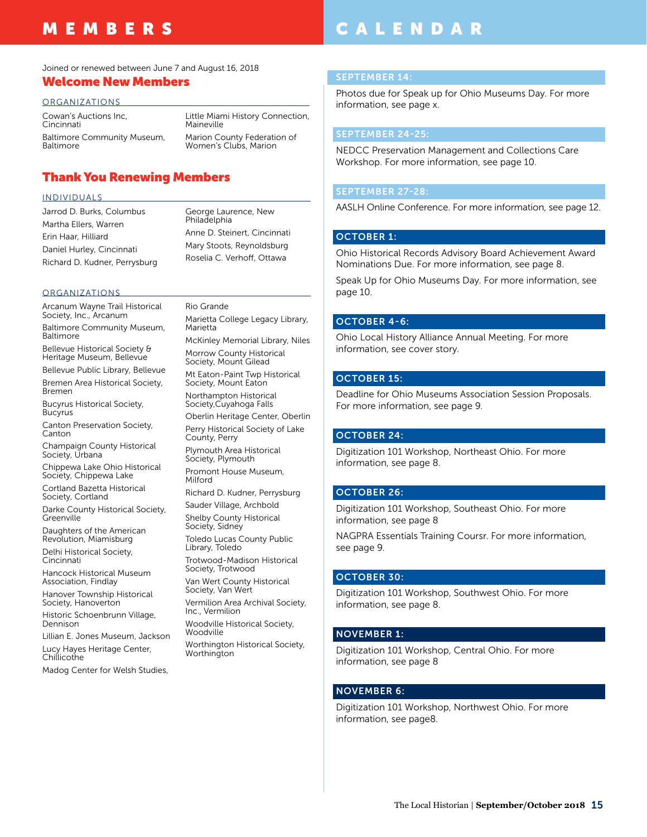## MEMBERS

## CALENDAR

Joined or renewed between June 7 and August 16, 2018

#### Welcome New Members

#### ORGANIZATIONS

Cowan's Auctions Inc, Cincinnati Baltimore Community Museum, **Baltimore** Little Miami History Connection, Maineville Marion County Federation of Women's Clubs, Marion

#### Thank You Renewing Members

#### INDIVIDUALS

Jarrod D. Burks, Columbus Martha Ellers, Warren Erin Haar, Hilliard Daniel Hurley, Cincinnati Richard D. Kudner, Perrysburg George Laurence, New Philadelphia Anne D. Steinert, Cincinnati Mary Stoots, Reynoldsburg Roselia C. Verhoff, Ottawa

#### ORGANIZATIONS

Arcanum Wayne Trail Historical Society, Inc., Arcanum Baltimore Community Museum, Baltimore Bellevue Historical Society &

Heritage Museum, Bellevue Bellevue Public Library, Bellevue

Bremen Area Historical Society, Bremen

Bucyrus Historical Society, **Bucyrus** 

Canton Preservation Society, Canton

Champaign County Historical Society, Urbana

Chippewa Lake Ohio Historical Society, Chippewa Lake

Cortland Bazetta Historical Society, Cortland

Darke County Historical Society, Greenville

Daughters of the American Revolution, Miamisburg

Delhi Historical Society, Cincinnati

Hancock Historical Museum Association, Findlay

Hanover Township Historical Society, Hanoverton

Historic Schoenbrunn Village, Dennison

Lillian E. Jones Museum, Jackson Lucy Hayes Heritage Center, Chillicothe

Madog Center for Welsh Studies,

Rio Grande

Marietta College Legacy Library, Marietta McKinley Memorial Library, Niles Morrow County Historical Society, Mount Gilead Mt Eaton-Paint Twp Historical Society, Mount Eaton Northampton Historical Society,Cuyahoga Falls Oberlin Heritage Center, Oberlin Perry Historical Society of Lake County, Perry Plymouth Area Historical Society, Plymouth Promont House Museum, Milford Richard D. Kudner, Perrysburg Sauder Village, Archbold Shelby County Historical Society, Sidney Toledo Lucas County Public Library, Toledo Trotwood-Madison Historical Society, Trotwood Van Wert County Historical Society, Van Wert Vermilion Area Archival Society, Inc., Vermilion

Woodville Historical Society, Woodville

Worthington Historical Society, Worthington

#### SEPTEMBER 14:

Photos due for Speak up for Ohio Museums Day. For more information, see page x.

#### SEPTEMBER 24-25:

NEDCC Preservation Management and Collections Care Workshop. For more information, see page 10.

#### SEPTEMBER 27-28:

AASLH Online Conference. For more information, see page 12.

#### OCTOBER 1:

Ohio Historical Records Advisory Board Achievement Award Nominations Due. For more information, see page 8.

Speak Up for Ohio Museums Day. For more information, see page 10.

#### OCTOBER 4-6:

Ohio Local History Alliance Annual Meeting. For more information, see cover story.

#### OCTOBER 15:

Deadline for Ohio Museums Association Session Proposals. For more information, see page 9.

#### OCTOBER 24:

Digitization 101 Workshop, Northeast Ohio. For more information, see page 8.

#### OCTOBER 26:

Digitization 101 Workshop, Southeast Ohio. For more information, see page 8

NAGPRA Essentials Training Coursr. For more information, see page 9.

#### OCTOBER 30:

Digitization 101 Workshop, Southwest Ohio. For more information, see page 8.

#### NOVEMBER 1:

Digitization 101 Workshop, Central Ohio. For more information, see page 8

#### NOVEMBER 6:

Digitization 101 Workshop, Northwest Ohio. For more information, see page8.